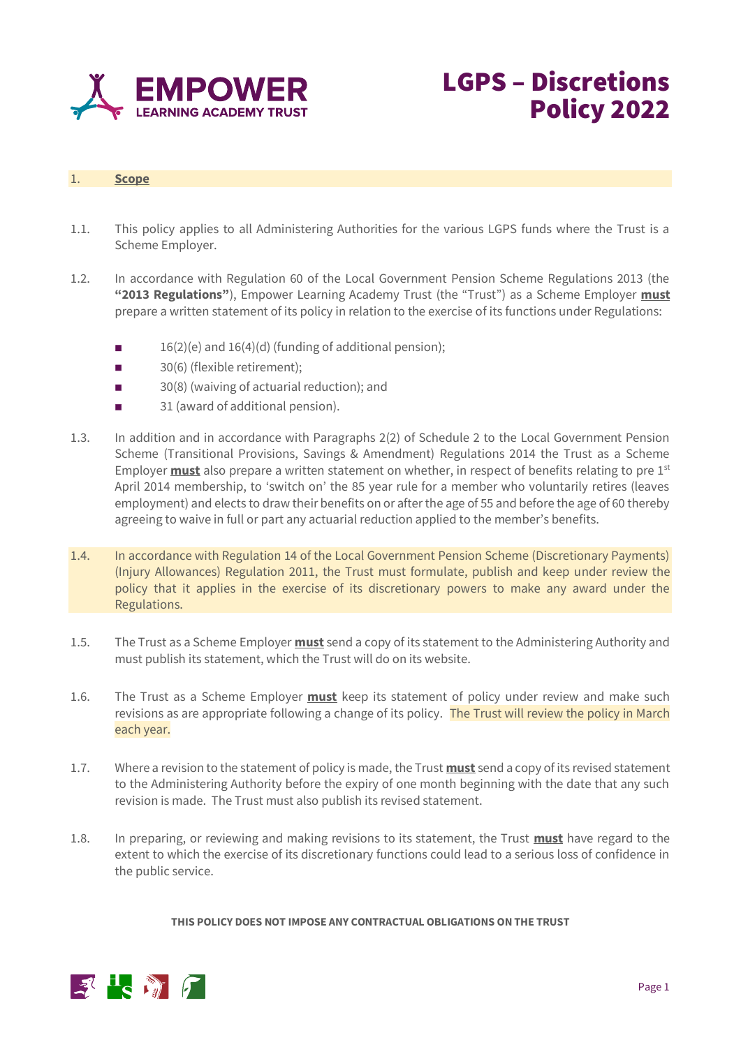

## 1. **Scope**

1.1. This policy applies to all Administering Authorities for the various LGPS funds where the Trust is a Scheme Employer.

LGPS – Discretions

Policy 2022

- 1.2. In accordance with Regulation 60 of the Local Government Pension Scheme Regulations 2013 (the **"2013 Regulations"**), Empower Learning Academy Trust (the "Trust") as a Scheme Employer **must** prepare a written statement of its policy in relation to the exercise of its functions under Regulations:
	- 16(2)(e) and 16(4)(d) (funding of additional pension);
	- 30(6) (flexible retirement):
	- ◼ 30(8) (waiving of actuarial reduction); and
	- 31 (award of additional pension).
- 1.3. In addition and in accordance with Paragraphs 2(2) of Schedule 2 to the Local Government Pension Scheme (Transitional Provisions, Savings & Amendment) Regulations 2014 the Trust as a Scheme Employer **must** also prepare a written statement on whether, in respect of benefits relating to pre 1st April 2014 membership, to 'switch on' the 85 year rule for a member who voluntarily retires (leaves employment) and elects to draw their benefits on or after the age of 55 and before the age of 60 thereby agreeing to waive in full or part any actuarial reduction applied to the member's benefits.
- 1.4. In accordance with Regulation 14 of the Local Government Pension Scheme (Discretionary Payments) (Injury Allowances) Regulation 2011, the Trust must formulate, publish and keep under review the policy that it applies in the exercise of its discretionary powers to make any award under the Regulations.
- 1.5. The Trust as a Scheme Employer **must** send a copy of its statement to the Administering Authority and must publish its statement, which the Trust will do on its website.
- 1.6. The Trust as a Scheme Employer **must** keep its statement of policy under review and make such revisions as are appropriate following a change of its policy. The Trust will review the policy in March each year.
- 1.7. Where a revision to the statement of policy is made, the Trust **must** send a copy of its revised statement to the Administering Authority before the expiry of one month beginning with the date that any such revision is made. The Trust must also publish its revised statement.
- 1.8. In preparing, or reviewing and making revisions to its statement, the Trust **must** have regard to the extent to which the exercise of its discretionary functions could lead to a serious loss of confidence in the public service.

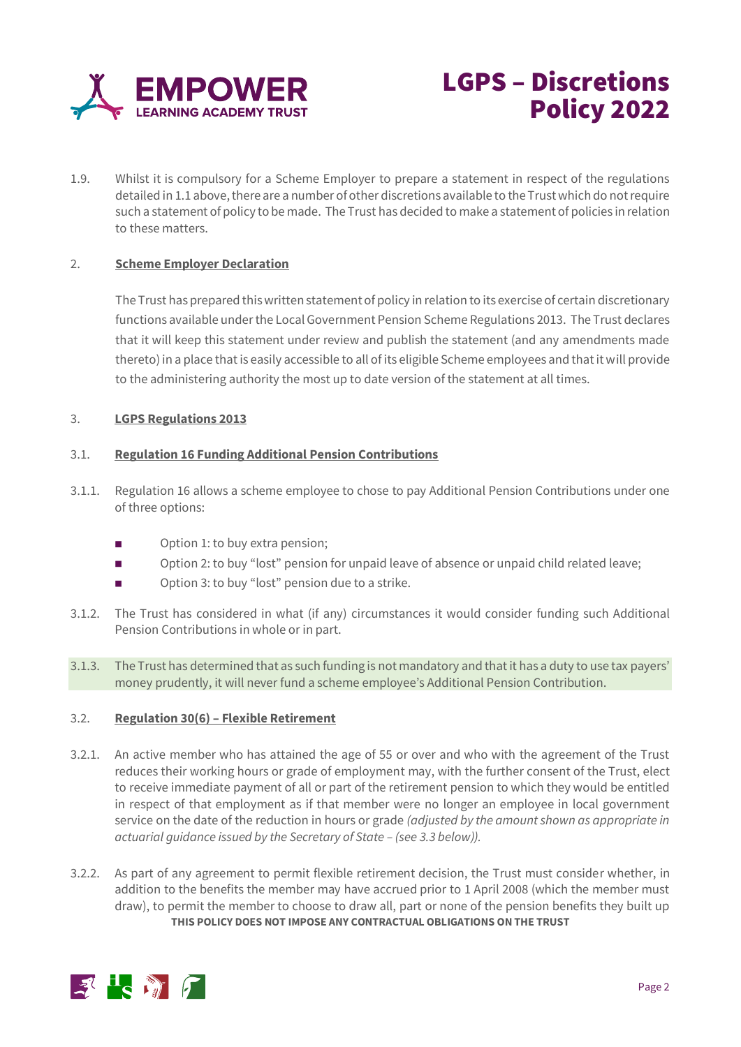

# LGPS – Discretions Policy 2022

1.9. Whilst it is compulsory for a Scheme Employer to prepare a statement in respect of the regulations detailed in 1.1 above, there are a number of other discretions available to the Trust which do not require such a statement of policy to be made. The Trust has decided to make a statement of policies in relation to these matters.

## 2. **Scheme Employer Declaration**

The Trust has prepared this written statement of policy in relation to its exercise of certain discretionary functions available under the Local Government Pension Scheme Regulations 2013. The Trust declares that it will keep this statement under review and publish the statement (and any amendments made thereto) in a place that is easily accessible to all of its eligible Scheme employees and that it will provide to the administering authority the most up to date version of the statement at all times.

## 3. **LGPS Regulations 2013**

## 3.1. **Regulation 16 Funding Additional Pension Contributions**

- 3.1.1. Regulation 16 allows a scheme employee to chose to pay Additional Pension Contributions under one of three options:
	- Option 1: to buy extra pension;
	- Option 2: to buy "lost" pension for unpaid leave of absence or unpaid child related leave;
	- Option 3: to buy "lost" pension due to a strike.
- 3.1.2. The Trust has considered in what (if any) circumstances it would consider funding such Additional Pension Contributions in whole or in part.
- 3.1.3. The Trust has determined that as such funding is not mandatory and that it has a duty to use tax payers' money prudently, it will never fund a scheme employee's Additional Pension Contribution.

## 3.2. **Regulation 30(6) – Flexible Retirement**

- 3.2.1. An active member who has attained the age of 55 or over and who with the agreement of the Trust reduces their working hours or grade of employment may, with the further consent of the Trust, elect to receive immediate payment of all or part of the retirement pension to which they would be entitled in respect of that employment as if that member were no longer an employee in local government service on the date of the reduction in hours or grade *(adjusted by the amount shown as appropriate in actuarial guidance issued by the Secretary of State – (see 3.3 below)).*
- **THIS POLICY DOES NOT IMPOSE ANY CONTRACTUAL OBLIGATIONS ON THE TRUST** 3.2.2. As part of any agreement to permit flexible retirement decision, the Trust must consider whether, in addition to the benefits the member may have accrued prior to 1 April 2008 (which the member must draw), to permit the member to choose to draw all, part or none of the pension benefits they built up

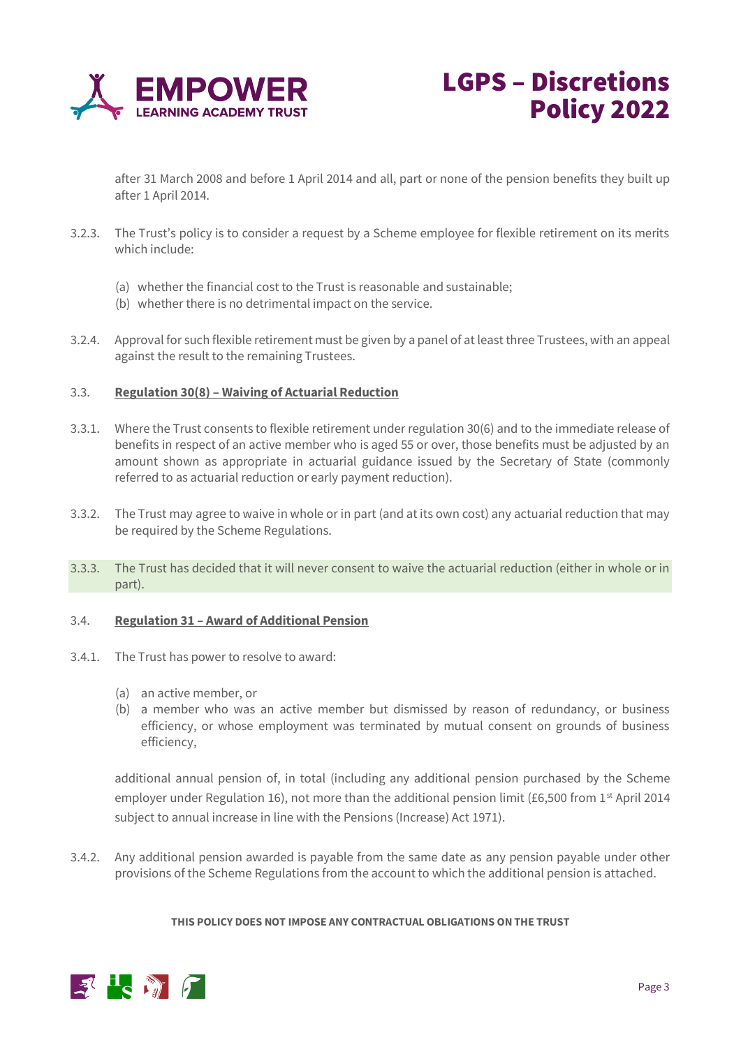



after 31 March 2008 and before 1 April 2014 and all, part or none of the pension benefits they built up after 1 April 2014.

- 3.2.3. The Trust's policy is to consider a request by a Scheme employee for flexible retirement on its merits which include:
	- (a) whether the financial cost to the Trust is reasonable and sustainable;
	- (b) whether there is no detrimental impact on the service.
- 3.2.4. Approval for such flexible retirement must be given by a panel of at least three Trustees, with an appeal against the result to the remaining Trustees.

#### 3.3. **Regulation 30(8) – Waiving of Actuarial Reduction**

- 3.3.1. Where the Trust consents to flexible retirement under regulation 30(6) and to the immediate release of benefits in respect of an active member who is aged 55 or over, those benefits must be adjusted by an amount shown as appropriate in actuarial guidance issued by the Secretary of State (commonly referred to as actuarial reduction or early payment reduction).
- 3.3.2. The Trust may agree to waive in whole or in part (and at its own cost) any actuarial reduction that may be required by the Scheme Regulations.
- 3.3.3. The Trust has decided that it will never consent to waive the actuarial reduction (either in whole or in part).

## 3.4. **Regulation 31 – Award of Additional Pension**

- 3.4.1. The Trust has power to resolve to award:
	- (a) an active member, or
	- (b) a member who was an active member but dismissed by reason of redundancy, or business efficiency, or whose employment was terminated by mutual consent on grounds of business efficiency,

additional annual pension of, in total (including any additional pension purchased by the Scheme employer under Regulation 16), not more than the additional pension limit (£6,500 from 1<sup>st</sup> April 2014 subject to annual increase in line with the Pensions (Increase) Act 1971).

3.4.2. Any additional pension awarded is payable from the same date as any pension payable under other provisions of the Scheme Regulations from the account to which the additional pension is attached.

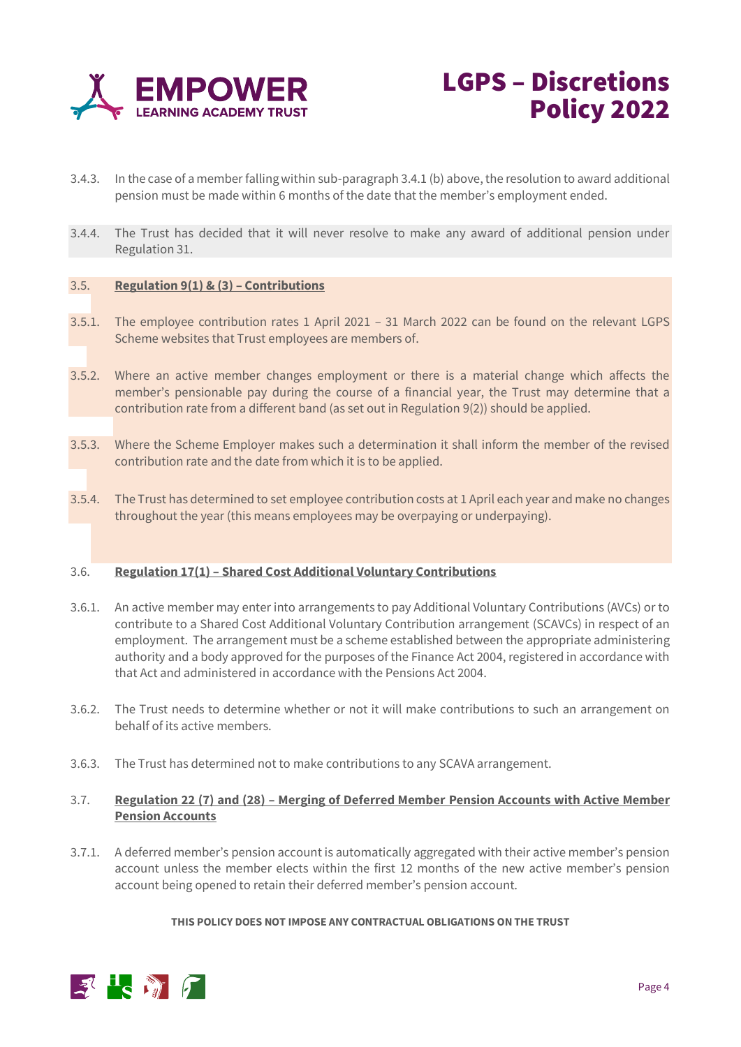



- 3.4.3. In the case of a member falling within sub-paragraph 3.4.1 (b) above, the resolution to award additional pension must be made within 6 months of the date that the member's employment ended.
- 3.4.4. The Trust has decided that it will never resolve to make any award of additional pension under Regulation 31.

## 3.5. **Regulation 9(1) & (3) – Contributions**

- 3.5.1. The employee contribution rates 1 April 2021 31 March 2022 can be found on the relevant LGPS Scheme websites that Trust employees are members of.
- 3.5.2. Where an active member changes employment or there is a material change which affects the member's pensionable pay during the course of a financial year, the Trust may determine that a contribution rate from a different band (as set out in Regulation 9(2)) should be applied.
- 3.5.3. Where the Scheme Employer makes such a determination it shall inform the member of the revised contribution rate and the date from which it is to be applied.
- 3.5.4. The Trust has determined to set employee contribution costs at 1 April each year and make no changes throughout the year (this means employees may be overpaying or underpaying).

## 3.6. **Regulation 17(1) – Shared Cost Additional Voluntary Contributions**

- 3.6.1. An active member may enter into arrangements to pay Additional Voluntary Contributions (AVCs) or to contribute to a Shared Cost Additional Voluntary Contribution arrangement (SCAVCs) in respect of an employment. The arrangement must be a scheme established between the appropriate administering authority and a body approved for the purposes of the Finance Act 2004, registered in accordance with that Act and administered in accordance with the Pensions Act 2004.
- 3.6.2. The Trust needs to determine whether or not it will make contributions to such an arrangement on behalf of its active members.
- 3.6.3. The Trust has determined not to make contributions to any SCAVA arrangement.

#### 3.7. **Regulation 22 (7) and (28) – Merging of Deferred Member Pension Accounts with Active Member Pension Accounts**

3.7.1. A deferred member's pension account is automatically aggregated with their active member's pension account unless the member elects within the first 12 months of the new active member's pension account being opened to retain their deferred member's pension account.

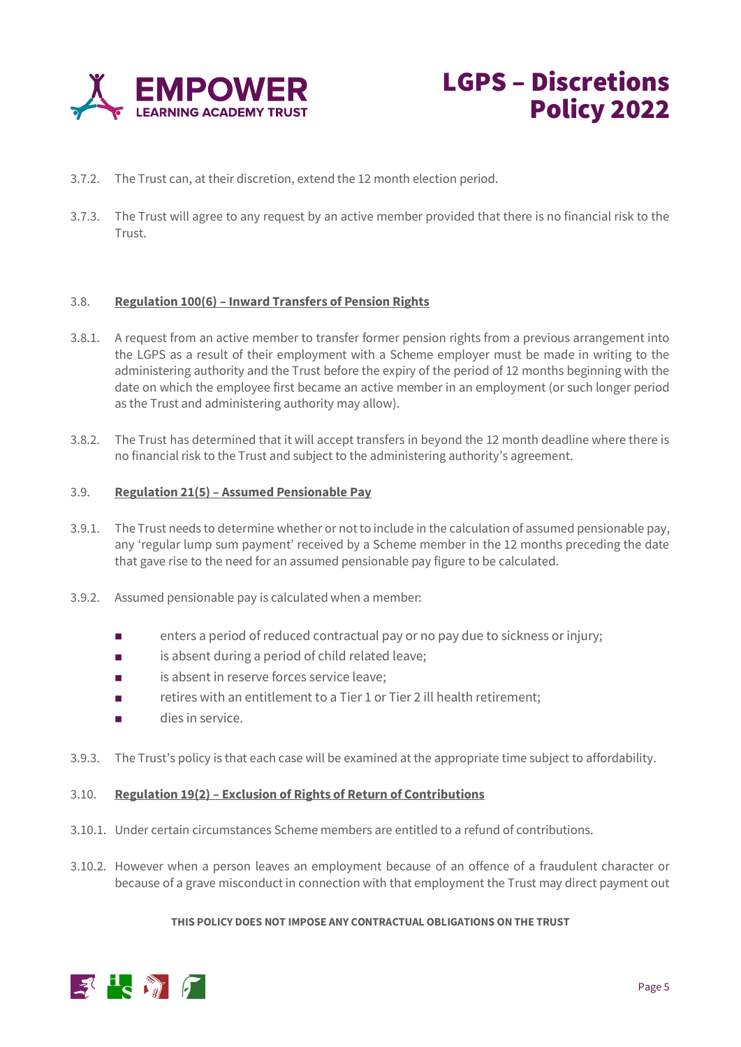



- 3.7.2. The Trust can, at their discretion, extend the 12 month election period.
- 3.7.3. The Trust will agree to any request by an active member provided that there is no financial risk to the **Trust**

## 3.8. **Regulation 100(6) – Inward Transfers of Pension Rights**

- 3.8.1. A request from an active member to transfer former pension rights from a previous arrangement into the LGPS as a result of their employment with a Scheme employer must be made in writing to the administering authority and the Trust before the expiry of the period of 12 months beginning with the date on which the employee first became an active member in an employment (or such longer period as the Trust and administering authority may allow).
- 3.8.2. The Trust has determined that it will accept transfers in beyond the 12 month deadline where there is no financial risk to the Trust and subject to the administering authority's agreement.

#### 3.9. **Regulation 21(5) – Assumed Pensionable Pay**

- 3.9.1. The Trust needs to determine whether or not to include in the calculation of assumed pensionable pay, any 'regular lump sum payment' received by a Scheme member in the 12 months preceding the date that gave rise to the need for an assumed pensionable pay figure to be calculated.
- 3.9.2. Assumed pensionable pay is calculated when a member:
	- enters a period of reduced contractual pay or no pay due to sickness or injury;
	- is absent during a period of child related leave;
	- is absent in reserve forces service leave:
	- retires with an entitlement to a Tier 1 or Tier 2 ill health retirement;
	- dies in service
- 3.9.3. The Trust's policy is that each case will be examined at the appropriate time subject to affordability.

#### 3.10. **Regulation 19(2) – Exclusion of Rights of Return of Contributions**

- 3.10.1. Under certain circumstances Scheme members are entitled to a refund of contributions.
- 3.10.2. However when a person leaves an employment because of an offence of a fraudulent character or because of a grave misconduct in connection with that employment the Trust may direct payment out

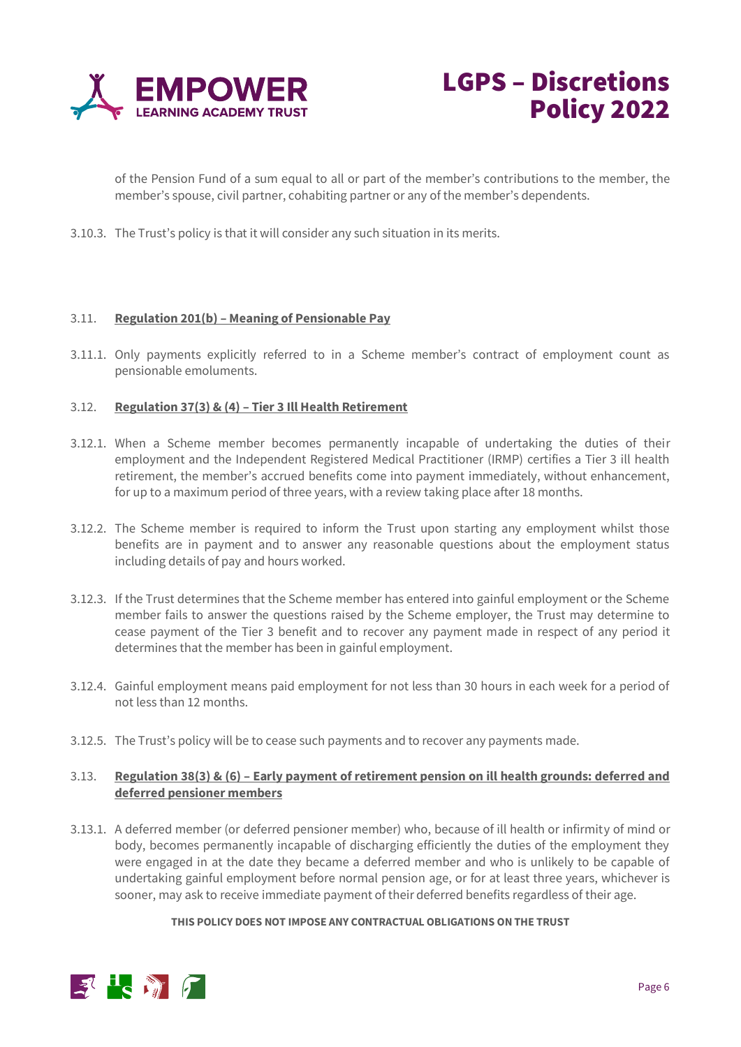



of the Pension Fund of a sum equal to all or part of the member's contributions to the member, the member's spouse, civil partner, cohabiting partner or any of the member's dependents.

3.10.3. The Trust's policy is that it will consider any such situation in its merits.

## 3.11. **Regulation 201(b) – Meaning of Pensionable Pay**

3.11.1. Only payments explicitly referred to in a Scheme member's contract of employment count as pensionable emoluments.

## 3.12. **Regulation 37(3) & (4) – Tier 3 Ill Health Retirement**

- 3.12.1. When a Scheme member becomes permanently incapable of undertaking the duties of their employment and the Independent Registered Medical Practitioner (IRMP) certifies a Tier 3 ill health retirement, the member's accrued benefits come into payment immediately, without enhancement, for up to a maximum period of three years, with a review taking place after 18 months.
- 3.12.2. The Scheme member is required to inform the Trust upon starting any employment whilst those benefits are in payment and to answer any reasonable questions about the employment status including details of pay and hours worked.
- 3.12.3. If the Trust determines that the Scheme member has entered into gainful employment or the Scheme member fails to answer the questions raised by the Scheme employer, the Trust may determine to cease payment of the Tier 3 benefit and to recover any payment made in respect of any period it determines that the member has been in gainful employment.
- 3.12.4. Gainful employment means paid employment for not less than 30 hours in each week for a period of not less than 12 months.
- 3.12.5. The Trust's policy will be to cease such payments and to recover any payments made.

## 3.13. **Regulation 38(3) & (6) – Early payment of retirement pension on ill health grounds: deferred and deferred pensioner members**

3.13.1. A deferred member (or deferred pensioner member) who, because of ill health or infirmity of mind or body, becomes permanently incapable of discharging efficiently the duties of the employment they were engaged in at the date they became a deferred member and who is unlikely to be capable of undertaking gainful employment before normal pension age, or for at least three years, whichever is sooner, may ask to receive immediate payment of their deferred benefits regardless of their age.

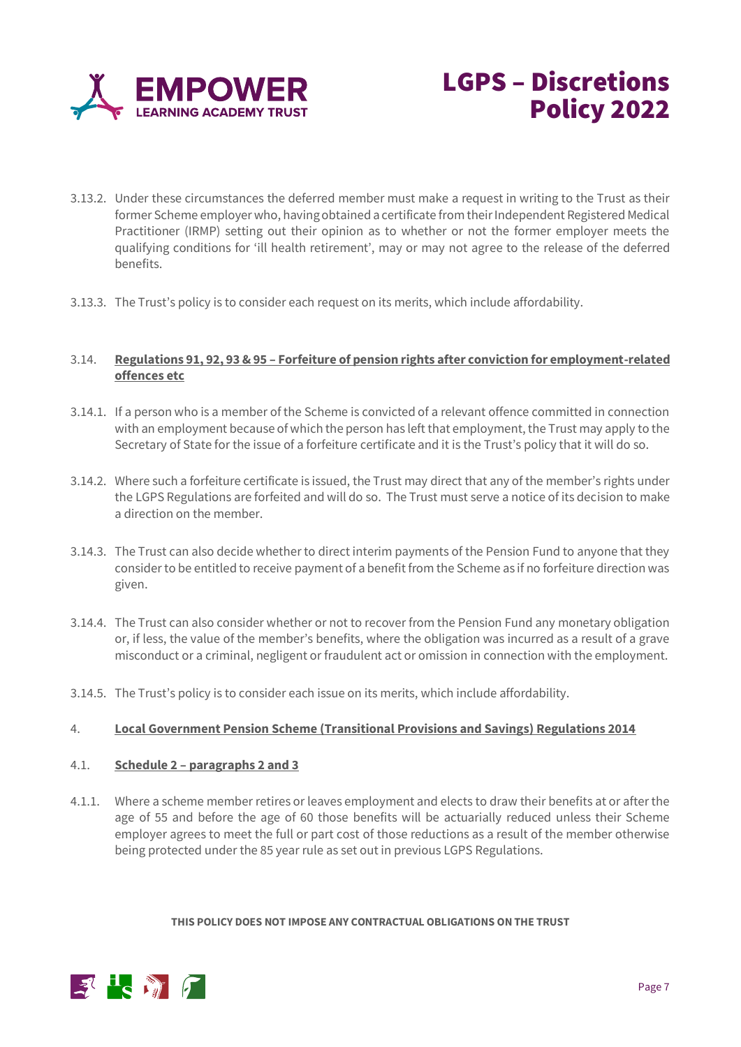



- 3.13.2. Under these circumstances the deferred member must make a request in writing to the Trust as their former Scheme employer who, having obtained a certificate from their Independent Registered Medical Practitioner (IRMP) setting out their opinion as to whether or not the former employer meets the qualifying conditions for 'ill health retirement', may or may not agree to the release of the deferred benefits.
- 3.13.3. The Trust's policy is to consider each request on its merits, which include affordability.

## 3.14. **Regulations 91, 92, 93 & 95 – Forfeiture of pension rights after conviction for employment-related offences etc**

- 3.14.1. If a person who is a member of the Scheme is convicted of a relevant offence committed in connection with an employment because of which the person has left that employment, the Trust may apply to the Secretary of State for the issue of a forfeiture certificate and it is the Trust's policy that it will do so.
- 3.14.2. Where such a forfeiture certificate is issued, the Trust may direct that any of the member's rights under the LGPS Regulations are forfeited and will do so. The Trust must serve a notice of its decision to make a direction on the member.
- 3.14.3. The Trust can also decide whether to direct interim payments of the Pension Fund to anyone that they consider to be entitled to receive payment of a benefit from the Scheme as if no forfeiture direction was given.
- 3.14.4. The Trust can also consider whether or not to recover from the Pension Fund any monetary obligation or, if less, the value of the member's benefits, where the obligation was incurred as a result of a grave misconduct or a criminal, negligent or fraudulent act or omission in connection with the employment.
- 3.14.5. The Trust's policy is to consider each issue on its merits, which include affordability.

## 4. **Local Government Pension Scheme (Transitional Provisions and Savings) Regulations 2014**

## 4.1. **Schedule 2 – paragraphs 2 and 3**

4.1.1. Where a scheme member retires or leaves employment and elects to draw their benefits at or after the age of 55 and before the age of 60 those benefits will be actuarially reduced unless their Scheme employer agrees to meet the full or part cost of those reductions as a result of the member otherwise being protected under the 85 year rule as set out in previous LGPS Regulations.

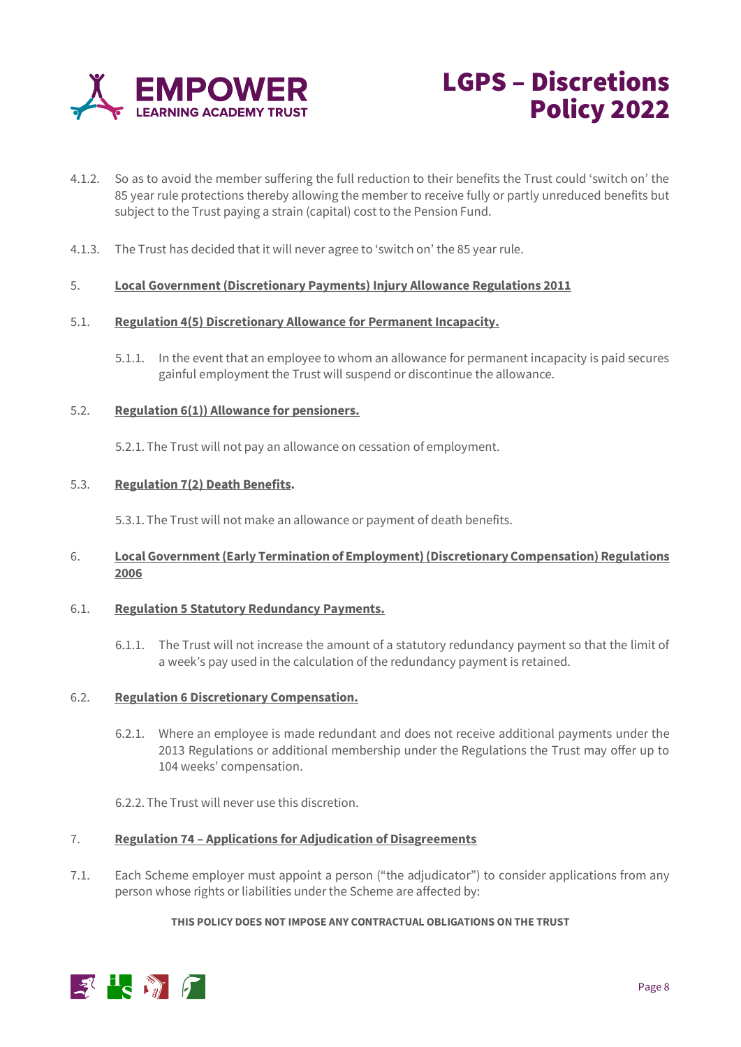



- 4.1.2. So as to avoid the member suffering the full reduction to their benefits the Trust could 'switch on' the 85 year rule protections thereby allowing the member to receive fully or partly unreduced benefits but subject to the Trust paying a strain (capital) cost to the Pension Fund.
- 4.1.3. The Trust has decided that it will never agree to 'switch on' the 85 year rule.

## 5. **Local Government (Discretionary Payments) Injury Allowance Regulations 2011**

## 5.1. **Regulation 4(5) Discretionary Allowance for Permanent Incapacity.**

5.1.1. In the event that an employee to whom an allowance for permanent incapacity is paid secures gainful employment the Trust will suspend or discontinue the allowance.

## 5.2. **Regulation 6(1)) Allowance for pensioners.**

5.2.1. The Trust will not pay an allowance on cessation of employment.

#### 5.3. **Regulation 7(2) Death Benefits.**

5.3.1. The Trust will not make an allowance or payment of death benefits.

## 6. **Local Government (Early Termination of Employment) (Discretionary Compensation) Regulations 2006**

## 6.1. **Regulation 5 Statutory Redundancy Payments.**

6.1.1. The Trust will not increase the amount of a statutory redundancy payment so that the limit of a week's pay used in the calculation of the redundancy payment is retained.

#### 6.2. **Regulation 6 Discretionary Compensation.**

6.2.1. Where an employee is made redundant and does not receive additional payments under the 2013 Regulations or additional membership under the Regulations the Trust may offer up to 104 weeks' compensation.

6.2.2. The Trust will never use this discretion.

## 7. **Regulation 74 – Applications for Adjudication of Disagreements**

7.1. Each Scheme employer must appoint a person ("the adjudicator") to consider applications from any person whose rights or liabilities under the Scheme are affected by: